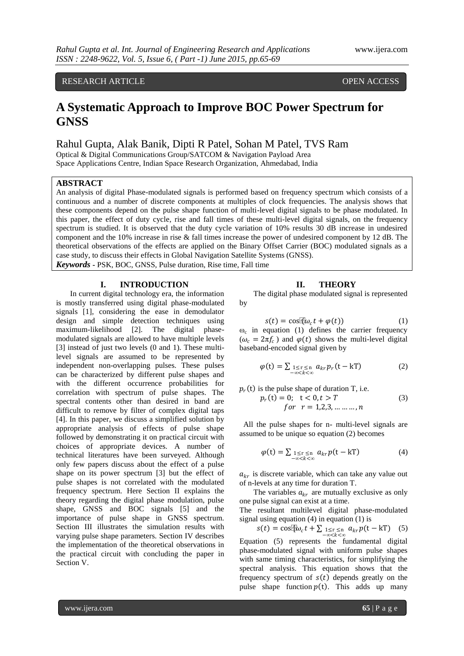## RESEARCH ARTICLE **CONSERVERS** OPEN ACCESS

## **A Systematic Approach to Improve BOC Power Spectrum for GNSS**

Rahul Gupta, Alak Banik, Dipti R Patel, Sohan M Patel, TVS Ram

Optical & Digital Communications Group/SATCOM & Navigation Payload Area Space Applications Centre, Indian Space Research Organization, Ahmedabad, India

## **ABSTRACT**

An analysis of digital Phase-modulated signals is performed based on frequency spectrum which consists of a continuous and a number of discrete components at multiples of clock frequencies. The analysis shows that these components depend on the pulse shape function of multi-level digital signals to be phase modulated. In this paper, the effect of duty cycle, rise and fall times of these multi-level digital signals, on the frequency spectrum is studied. It is observed that the duty cycle variation of 10% results 30 dB increase in undesired component and the 10% increase in rise & fall times increase the power of undesired component by 12 dB. The theoretical observations of the effects are applied on the Binary Offset Carrier (BOC) modulated signals as a case study, to discuss their effects in Global Navigation Satellite Systems (GNSS).

*Keywords* **-** PSK, BOC, GNSS, Pulse duration, Rise time, Fall time

## **I. INTRODUCTION**

In current digital technology era, the information is mostly transferred using digital phase-modulated signals [1], considering the ease in demodulator design and simple detection techniques using maximum-likelihood [2]. The digital phasemodulated signals are allowed to have multiple levels [3] instead of just two levels (0 and 1). These multilevel signals are assumed to be represented by independent non-overlapping pulses. These pulses can be characterized by different pulse shapes and with the different occurrence probabilities for correlation with spectrum of pulse shapes. The spectral contents other than desired in band are difficult to remove by filter of complex digital taps [4]. In this paper, we discuss a simplified solution by appropriate analysis of effects of pulse shape followed by demonstrating it on practical circuit with choices of appropriate devices. A number of technical literatures have been surveyed. Although only few papers discuss about the effect of a pulse shape on its power spectrum [3] but the effect of pulse shapes is not correlated with the modulated frequency spectrum. Here Section II explains the theory regarding the digital phase modulation, pulse shape, GNSS and BOC signals [5] and the importance of pulse shape in GNSS spectrum. Section III illustrates the simulation results with varying pulse shape parameters. Section IV describes the implementation of the theoretical observations in the practical circuit with concluding the paper in Section V.

#### **II. THEORY**

The digital phase modulated signal is represented by

$$
s(t) = \cos(\omega_c t + \varphi(t))
$$
 (1)

 $\omega_c$  in equation (1) defines the carrier frequency  $(\omega_c = 2\pi f_c)$  and  $\varphi(t)$  shows the multi-level digital baseband-encoded signal given by

$$
\varphi(t) = \sum_{1 \le r \le n} \sum_{\substack{m \\ n \ll k < \infty}} a_{kr} p_r(t - kT) \tag{2}
$$

$$
p_r(t) \text{ is the pulse shape of duration T, i.e.}
$$
  
\n
$$
p_r(t) = 0; \quad t < 0, t > T
$$
  
\n
$$
for \quad r = 1, 2, 3, \dots, n
$$
 (3)

All the pulse shapes for n- multi-level signals are assumed to be unique so equation (2) becomes

$$
\varphi(t) = \sum_{1 \le r \le n} \sum_{\substack{a_{kr} \neq b}} a_{kr} p(t - kT) \tag{4}
$$

 $a_{kr}$  is discrete variable, which can take any value out of n-levels at any time for duration T.

The variables  $a_{kr}$  are mutually exclusive as only one pulse signal can exist at a time.

The resultant multilevel digital phase-modulated signal using equation (4) in equation (1) is

 $s(t) = \cos[\omega_c t + \sum_{\substack{1 \leq r \leq n \\ -\infty < k < \infty}} a_{kr} p(t - kT)$  (5)

Equation (5) represents the fundamental digital phase-modulated signal with uniform pulse shapes with same timing characteristics, for simplifying the spectral analysis. This equation shows that the frequency spectrum of  $s(t)$  depends greatly on the pulse shape function  $p(t)$ . This adds up many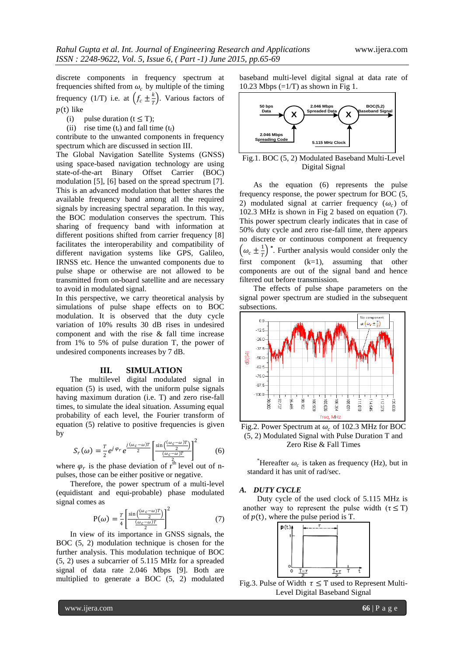discrete components in frequency spectrum at frequencies shifted from  $\omega_c$  by multiple of the timing frequency (1/T) i.e. at  $\left(f_c \pm \frac{k}{l}\right)$  $\frac{\pi}{T}$ ). Various factors of  $p(t)$  like

(i) pulse duration  $(t \le T)$ ;

(ii) rise time  $(t_r)$  and fall time  $(t_f)$ 

contribute to the unwanted components in frequency spectrum which are discussed in section III.

The Global Navigation Satellite Systems (GNSS) using space-based navigation technology are using state-of-the-art Binary Offset Carrier (BOC) modulation [5], [6] based on the spread spectrum [7]. This is an advanced modulation that better shares the available frequency band among all the required signals by increasing spectral separation. In this way, the BOC modulation conserves the spectrum. This sharing of frequency band with information at different positions shifted from carrier frequency [8] facilitates the interoperability and compatibility of different navigation systems like GPS, Galileo, IRNSS etc. Hence the unwanted components due to pulse shape or otherwise are not allowed to be transmitted from on-board satellite and are necessary to avoid in modulated signal.

In this perspective, we carry theoretical analysis by simulations of pulse shape effects on to BOC modulation. It is observed that the duty cycle variation of 10% results 30 dB rises in undesired component and with the rise & fall time increase from 1% to 5% of pulse duration T, the power of undesired components increases by 7 dB.

## **III. SIMULATION**

The multilevel digital modulated signal in equation (5) is used, with the uniform pulse signals having maximum duration (i.e. T) and zero rise-fall times, to simulate the ideal situation. Assuming equal probability of each level, the Fourier transform of equation (5) relative to positive frequencies is given by

$$
S_r(\omega) = \frac{T}{2} e^{j \varphi_r} e^{\frac{j(\omega_c - \omega)T}{2} \left[ \frac{\sin\left(\frac{(\omega_c - \omega)T}{2}\right)}{\frac{(\omega_c - \omega)T}{2} \right]^2}
$$
(6)

where  $\varphi_r$  is the phase deviation of  $r^{\text{th}}$  level out of npulses, those can be either positive or negative.

Therefore, the power spectrum of a multi-level (equidistant and equi-probable) phase modulated signal comes as

$$
P(\omega) = \frac{T}{4} \left[ \frac{\sin\left(\frac{(\omega_c - \omega)T}{2}\right)}{\frac{(\omega_c - \omega)T}{2}} \right]^2 \tag{7}
$$

In view of its importance in GNSS signals, the BOC (5, 2) modulation technique is chosen for the further analysis. This modulation technique of BOC (5, 2) uses a subcarrier of 5.115 MHz for a spreaded signal of data rate 2.046 Mbps [9]. Both are multiplied to generate a BOC (5, 2) modulated

baseband multi-level digital signal at data rate of 10.23 Mbps  $(=1/T)$  as shown in Fig 1.



Fig.1. BOC (5, 2) Modulated Baseband Multi-Level Digital Signal

As the equation (6) represents the pulse frequency response, the power spectrum for BOC (5, 2) modulated signal at carrier frequency  $(\omega_c)$  of 102.3 MHz is shown in Fig 2 based on equation (7). This power spectrum clearly indicates that in case of 50% duty cycle and zero rise-fall time, there appears no discrete or continuous component at frequency  $(\omega_c \pm \frac{1}{r})^*$ . Further analysis would consider only the  $\begin{pmatrix} -c & -r \\ \text{first component} & \text{(k=1)}, \end{pmatrix}$  assuming that other components are out of the signal band and hence filtered out before transmission.

The effects of pulse shape parameters on the signal power spectrum are studied in the subsequent subsections.



Fig.2. Power Spectrum at  $\omega_c$  of 102.3 MHz for BOC (5, 2) Modulated Signal with Pulse Duration T and Zero Rise & Fall Times

\*Hereafter  $\omega_c$  is taken as frequency (Hz), but in standard it has unit of rad/sec.

## *A. DUTY CYCLE*

Duty cycle of the used clock of 5.115 MHz is another way to represent the pulse width  $(\tau \leq T)$ of  $p(t)$ , where the pulse period is T.



Fig.3. Pulse of Width  $\tau \leq T$  used to Represent Multi-Level Digital Baseband Signal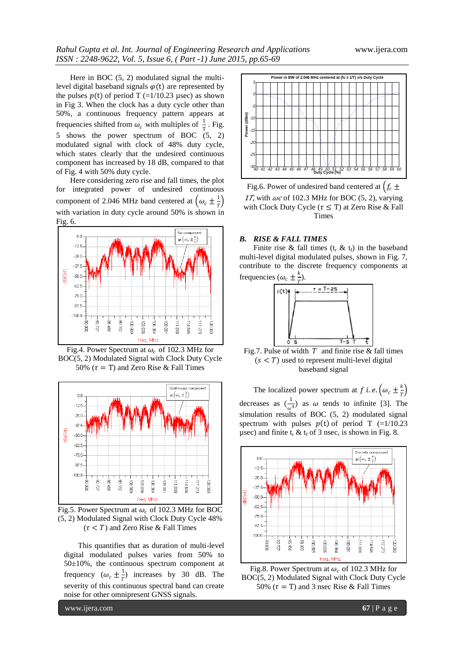Here in BOC (5, 2) modulated signal the multilevel digital baseband signals  $\varphi(t)$  are represented by the pulses  $p(t)$  of period T (=1/10.23 µsec) as shown in Fig 3. When the clock has a duty cycle other than 50%, a continuous frequency pattern appears at frequencies shifted from  $\omega_c$  with multiples of  $\frac{1}{T}$ . Fig.  $\frac{1}{5}$  shows the power spectrum of BOC  $(5, 2)$ modulated signal with clock of 48% duty cycle, which states clearly that the undesired continuous component has increased by 18 dB, compared to that of Fig. 4 with 50% duty cycle.

Here considering zero rise and fall times, the plot for integrated power of undesired continuous component of 2.046 MHz band centered at  $(\omega_c \pm \frac{1}{T})$  $\frac{1}{T}$ with variation in duty cycle around 50% is shown in Fig. 6.



Fig.4. Power Spectrum at  $\omega_c$  of 102.3 MHz for BOC(5, 2) Modulated Signal with Clock Duty Cycle 50% ( $\tau = T$ ) and Zero Rise & Fall Times



Fig.5. Power Spectrum at  $\omega_c$  of 102.3 MHz for BOC (5, 2) Modulated Signal with Clock Duty Cycle 48%  $(\tau < T)$  and Zero Rise & Fall Times

This quantifies that as duration of multi-level digital modulated pulses varies from 50% to 50±10%, the continuous spectrum component at frequency  $(\omega_c \pm \frac{1}{r})$  $\frac{1}{T}$ ) increases by 30 dB. The severity of this continuous spectral band can create noise for other omnipresent GNSS signals.



Fig.6. Power of undesired band centered at  $f_c \pm$ 17, with  $\omega c$  of 102.3 MHz for BOC (5, 2), varying with Clock Duty Cycle ( $\tau \leq T$ ) at Zero Rise & Fall Times

#### *B. RISE & FALL TIMES*

Finite rise & fall times  $(t_r \& t_f)$  in the baseband multi-level digital modulated pulses, shown in Fig. 7, contribute to the discrete frequency components at frequencies ( $\omega_c \pm \frac{k}{T}$  $\frac{1}{T}$ ).



Fig.7. Pulse of width  $T$  and finite rise & fall times  $(s < T)$  used to represent multi-level digital baseband signal

The localized power spectrum at f *i.e.*  $(\omega_c \pm \frac{k}{7})$  $\frac{n}{T}$ decreases as  $\left(\frac{1}{\cdots}\right)$  $\frac{1}{\omega^4}$ ) as  $\omega$  tends to infinite [3]. The simulation results of BOC (5, 2) modulated signal spectrum with pulses  $p(t)$  of period T (=1/10.23) usec) and finite  $t_r \& t_f$  of 3 nsec, is shown in Fig. 8.



Fig.8. Power Spectrum at  $\omega_c$  of 102.3 MHz for BOC(5, 2) Modulated Signal with Clock Duty Cycle 50%  $(\tau = T)$  and 3 nsec Rise & Fall Times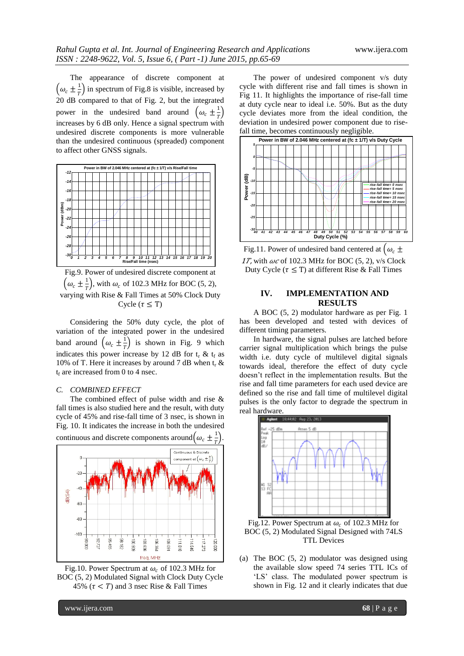The appearance of discrete component at  $\left(\omega_c \pm \frac{1}{T}\right)$  in spectrum of Fig.8 is visible, increased by  $20 \text{ dB}$  compared to that of Fig. 2, but the integrated power in the undesired band around  $(\omega_c \pm \frac{1}{T})$  $\frac{1}{T}$ increases by 6 dB only. Hence a signal spectrum with undesired discrete components is more vulnerable than the undesired continuous (spreaded) component to affect other GNSS signals.



Fig.9. Power of undesired discrete component at  $(\omega_c \pm \frac{1}{T})$  $(\frac{1}{T})$ , with  $\omega_c$  of 102.3 MHz for BOC (5, 2), varying with Rise & Fall Times at 50% Clock Duty Cycle ( $\tau \leq T$ )

Considering the 50% duty cycle, the plot of variation of the integrated power in the undesired band around  $(\omega_c \pm \frac{1}{r})$  $\frac{1}{T}$ ) is shown in Fig. 9 which indicates this power increase by 12 dB for  $t_r$  &  $t_f$  as 10% of T. Here it increases by around 7 dB when  $t_r$  &  $t_f$  are increased from 0 to 4 nsec.

## *C. COMBINED EFFECT*

The combined effect of pulse width and rise & fall times is also studied here and the result, with duty cycle of 45% and rise-fall time of 3 nsec, is shown in Fig. 10. It indicates the increase in both the undesired





The power of undesired component v/s duty cycle with different rise and fall times is shown in Fig 11. It highlights the importance of rise-fall time at duty cycle near to ideal i.e. 50%. But as the duty cycle deviates more from the ideal condition, the deviation in undesired power component due to risefall time, becomes continuously negligible.



Fig.11. Power of undesired band centered at  $(\omega_c \pm$ 17, with  $\omega c$  of 102.3 MHz for BOC (5, 2), v/s Clock Duty Cycle ( $\tau \leq T$ ) at different Rise & Fall Times

## **IV. IMPLEMENTATION AND RESULTS**

A BOC (5, 2) modulator hardware as per Fig. 1 has been developed and tested with devices of different timing parameters.

In hardware, the signal pulses are latched before carrier signal multiplication which brings the pulse width i.e. duty cycle of multilevel digital signals towards ideal, therefore the effect of duty cycle doesn"t reflect in the implementation results. But the rise and fall time parameters for each used device are defined so the rise and fall time of multilevel digital pulses is the only factor to degrade the spectrum in real hardware.



Fig.12. Power Spectrum at  $\omega_c$  of 102.3 MHz for BOC (5, 2) Modulated Signal Designed with 74LS TTL Devices

(a) The BOC (5, 2) modulator was designed using the available slow speed 74 series TTL ICs of 'LS' class. The modulated power spectrum is shown in Fig. 12 and it clearly indicates that due